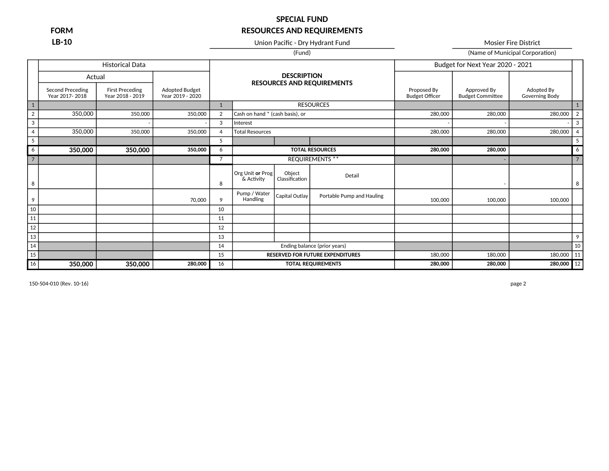**LB-10** Union Pacific - Dry Hydrant Fund Mosier Fire District Mosier Fire District

(Fund) (Fund) (Fund)

|                |                                           | <b>Historical Data</b>                     |                                    |                |                                 |                          |                                         |                                      | Budget for Next Year 2020 - 2021       |                              |                |
|----------------|-------------------------------------------|--------------------------------------------|------------------------------------|----------------|---------------------------------|--------------------------|-----------------------------------------|--------------------------------------|----------------------------------------|------------------------------|----------------|
|                | Actual                                    |                                            |                                    |                |                                 | <b>DESCRIPTION</b>       |                                         |                                      |                                        |                              |                |
|                | <b>Second Preceding</b><br>Year 2017-2018 | <b>First Preceding</b><br>Year 2018 - 2019 | Adopted Budget<br>Year 2019 - 2020 |                |                                 |                          | <b>RESOURCES AND REQUIREMENTS</b>       | Proposed By<br><b>Budget Officer</b> | Approved By<br><b>Budget Committee</b> | Adopted By<br>Governing Body |                |
| $1\,$          |                                           |                                            |                                    | $\mathbf{1}$   |                                 |                          | <b>RESOURCES</b>                        |                                      |                                        |                              | 1              |
| $\overline{2}$ | 350,000                                   | 350,000                                    | 350,000                            | $\overline{2}$ | Cash on hand * (cash basis), or |                          |                                         | 280,000                              | 280,000                                | 280,000                      | $\overline{2}$ |
| 3              |                                           |                                            |                                    | 3              | Interest                        |                          |                                         |                                      |                                        |                              | 3              |
| $\overline{4}$ | 350,000                                   | 350,000                                    | 350,000                            | $\overline{4}$ | <b>Total Resources</b>          |                          |                                         | 280,000                              | 280,000                                | 280,000                      | 4              |
| 5              |                                           |                                            |                                    | 5              |                                 |                          |                                         |                                      |                                        |                              | 5              |
| 6              | 350,000                                   | 350,000                                    | 350,000                            | 6              |                                 |                          | <b>TOTAL RESOURCES</b>                  | 280,000                              | 280,000                                |                              | 6              |
| $\overline{7}$ |                                           |                                            |                                    | $\overline{7}$ |                                 |                          | <b>REQUIREMENTS **</b>                  |                                      |                                        |                              | $\overline{7}$ |
| 8              |                                           |                                            |                                    | 8              | Org Unit or Prog<br>& Activity  | Object<br>Classification | Detail                                  |                                      |                                        |                              | 8              |
| 9              |                                           |                                            | 70,000                             | $\mathsf{Q}$   | Pump / Water<br>Handling        | Capital Outlay           | Portable Pump and Hauling               | 100,000                              | 100,000                                | 100,000                      |                |
| $10\,$         |                                           |                                            |                                    | 10             |                                 |                          |                                         |                                      |                                        |                              |                |
| 11             |                                           |                                            |                                    | 11             |                                 |                          |                                         |                                      |                                        |                              |                |
| 12             |                                           |                                            |                                    | 12             |                                 |                          |                                         |                                      |                                        |                              |                |
| 13             |                                           |                                            |                                    | 13             |                                 |                          |                                         |                                      |                                        |                              | 9              |
| 14             |                                           |                                            |                                    | 14             |                                 |                          | Ending balance (prior years)            |                                      |                                        |                              | 10             |
| 15             |                                           |                                            |                                    | 15             |                                 |                          | <b>RESERVED FOR FUTURE EXPENDITURES</b> | 180,000                              | 180,000                                | 180,000 11                   |                |
| 16             | 350,000                                   | 350,000                                    | 280,000                            | 16             |                                 |                          | <b>TOTAL REQUIREMENTS</b>               | 280,000                              | 280,000                                | 280,000 12                   |                |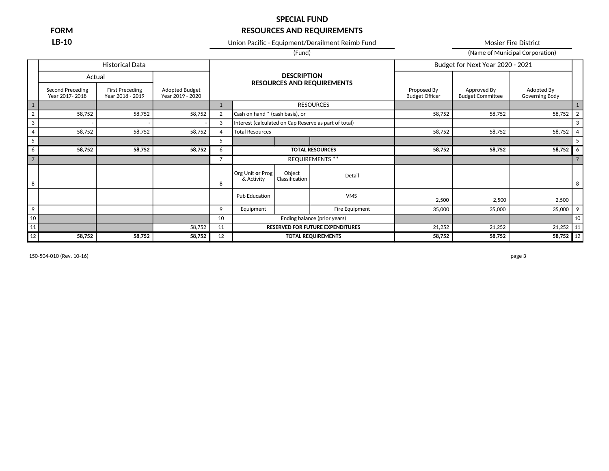**LB-10** Union Pacific - Equipment/Derailment Reimb Fund Mosier Fire District

(Fund) (Fund) (Name of Municipal Corporation)

|                |                                    | <b>Historical Data</b>                     |                                    |                |                                 |                          |                                                       |                                      | Budget for Next Year 2020 - 2021       |                              |                |
|----------------|------------------------------------|--------------------------------------------|------------------------------------|----------------|---------------------------------|--------------------------|-------------------------------------------------------|--------------------------------------|----------------------------------------|------------------------------|----------------|
|                | Actual                             |                                            |                                    |                |                                 | <b>DESCRIPTION</b>       |                                                       |                                      |                                        |                              |                |
|                | Second Preceding<br>Year 2017-2018 | <b>First Preceding</b><br>Year 2018 - 2019 | Adopted Budget<br>Year 2019 - 2020 |                |                                 |                          | <b>RESOURCES AND REQUIREMENTS</b>                     | Proposed By<br><b>Budget Officer</b> | Approved By<br><b>Budget Committee</b> | Adopted By<br>Governing Body |                |
| $\boxed{1}$    |                                    |                                            |                                    | 1              |                                 |                          | <b>RESOURCES</b>                                      |                                      |                                        |                              |                |
| $\overline{2}$ | 58,752                             | 58,752                                     | 58,752                             | $\overline{2}$ | Cash on hand * (cash basis), or |                          |                                                       | 58,752                               | 58,752                                 | 58,752                       | $\overline{2}$ |
| $\mathbf{3}$   |                                    |                                            |                                    | 3              |                                 |                          | Interest (calculated on Cap Reserve as part of total) |                                      |                                        |                              | 3              |
| $\overline{4}$ | 58,752                             | 58,752                                     | 58,752                             | 4              | <b>Total Resources</b>          |                          |                                                       | 58,752                               | 58,752                                 | 58,752                       | $\overline{4}$ |
| 5              |                                    |                                            |                                    | 5              |                                 |                          |                                                       |                                      |                                        |                              | -5             |
| 6              | 58,752                             | 58,752                                     | 58,752                             | 6              |                                 |                          | <b>TOTAL RESOURCES</b>                                | 58,752                               | 58,752                                 | 58,752                       | 6              |
| $\overline{7}$ |                                    |                                            |                                    |                |                                 |                          | <b>REQUIREMENTS **</b>                                |                                      |                                        |                              |                |
| 8              |                                    |                                            |                                    | 8              | Org Unit or Prog<br>& Activity  | Object<br>Classification | Detail                                                |                                      |                                        |                              | 8              |
|                |                                    |                                            |                                    |                | Pub Education                   |                          | <b>VMS</b>                                            | 2,500                                | 2,500                                  | 2,500                        |                |
| 9              |                                    |                                            |                                    | 9              | Equipment                       |                          | Fire Equipment                                        | 35,000                               | 35,000                                 | 35,000                       | 9              |
| 10             |                                    |                                            |                                    | 10             |                                 |                          | Ending balance (prior years)                          |                                      |                                        |                              | 10             |
| 11             |                                    |                                            | 58,752                             | 11             |                                 |                          | <b>RESERVED FOR FUTURE EXPENDITURES</b>               | 21,252                               | 21,252                                 | 21,252                       | 11             |
| $12\,$         | 58,752                             | 58,752                                     | 58,752                             | 12             |                                 |                          | <b>TOTAL REQUIREMENTS</b>                             | 58,752                               | 58,752                                 | 58,752 12                    |                |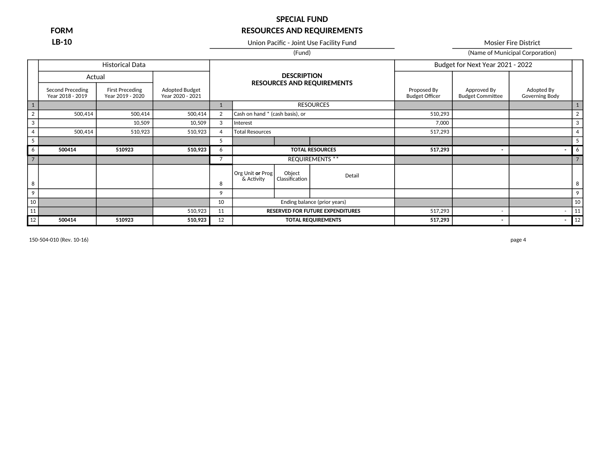**LB-10** Union Pacific - Joint Use Facility Fund Mosier Fire District

(Fund) (Fund) (Fund)

|                 |                                      | <b>Historical Data</b>              |                                    |                |                                 |                          |                                         |                                      | Budget for Next Year 2021 - 2022       |                                     |                |
|-----------------|--------------------------------------|-------------------------------------|------------------------------------|----------------|---------------------------------|--------------------------|-----------------------------------------|--------------------------------------|----------------------------------------|-------------------------------------|----------------|
|                 | Actual                               |                                     |                                    |                |                                 | <b>DESCRIPTION</b>       |                                         |                                      |                                        |                                     |                |
|                 | Second Preceding<br>Year 2018 - 2019 | First Preceding<br>Year 2019 - 2020 | Adopted Budget<br>Year 2020 - 2021 |                |                                 |                          | <b>RESOURCES AND REQUIREMENTS</b>       | Proposed By<br><b>Budget Officer</b> | Approved By<br><b>Budget Committee</b> | Adopted By<br><b>Governing Body</b> |                |
| $\mathbf{1}$    |                                      |                                     |                                    |                |                                 |                          | <b>RESOURCES</b>                        |                                      |                                        |                                     |                |
| $\overline{2}$  | 500,414                              | 500,414                             | 500,414                            | 2              | Cash on hand * (cash basis), or |                          |                                         | 510,293                              |                                        |                                     | $\overline{2}$ |
| 3               |                                      | 10,509                              | 10,509                             | 3              | Interest                        |                          |                                         | 7,000                                |                                        |                                     | 3              |
| $\overline{4}$  | 500,414                              | 510,923                             | 510,923                            | $\overline{4}$ | <b>Total Resources</b>          |                          |                                         | 517,293                              |                                        |                                     | $\overline{4}$ |
| 5               |                                      |                                     |                                    | 5              |                                 |                          |                                         |                                      |                                        |                                     |                |
| 6               | 500414                               | 510923                              | 510,923                            | 6              |                                 |                          | <b>TOTAL RESOURCES</b>                  | 517,293                              |                                        |                                     | 6              |
| $7\overline{ }$ |                                      |                                     |                                    | 7              |                                 |                          | <b>REQUIREMENTS **</b>                  |                                      |                                        |                                     |                |
| 8               |                                      |                                     |                                    | 8              | Org Unit or Prog<br>& Activity  | Object<br>Classification | Detail                                  |                                      |                                        |                                     | 8              |
| 9               |                                      |                                     |                                    | 9              |                                 |                          |                                         |                                      |                                        |                                     | 9              |
| 10              |                                      |                                     |                                    | 10             |                                 |                          | Ending balance (prior years)            |                                      |                                        |                                     | 10             |
| 11              |                                      |                                     | 510,923                            | 11             |                                 |                          | <b>RESERVED FOR FUTURE EXPENDITURES</b> | 517,293                              |                                        |                                     | 11             |
| 12              | 500414                               | 510923                              | 510,923                            | 12             |                                 |                          | <b>TOTAL REQUIREMENTS</b>               | 517,293                              |                                        |                                     | 12             |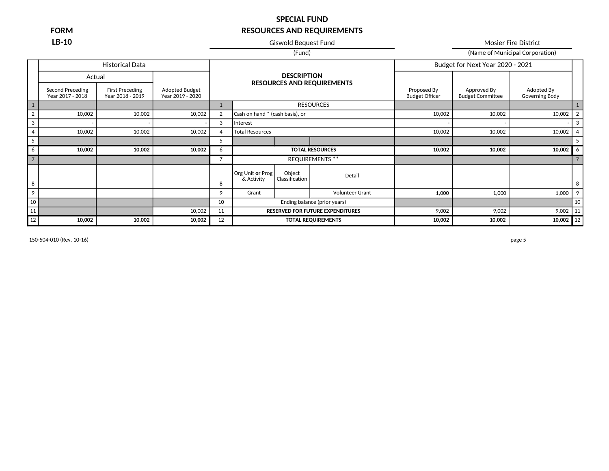**LB-10** Giswold Bequest Fund Giswold Bequest Fund Mosier Fire District

### (Fund) (Fund) (Fund) (Fund) (Name of Municipal Corporation) Historical Data **Budget for Next Year 2020 - 2021 DESCRIPTION RESOURCES AND REQUIREMENTS** Adopted Budget

|                | Actual                               |                                            |                                    |    |                                 | <b>DESCRIPTION</b>       | <b>RESOURCES AND REQUIREMENTS</b>       |                                      |                                        |                              |    |
|----------------|--------------------------------------|--------------------------------------------|------------------------------------|----|---------------------------------|--------------------------|-----------------------------------------|--------------------------------------|----------------------------------------|------------------------------|----|
|                | Second Preceding<br>Year 2017 - 2018 | <b>First Preceding</b><br>Year 2018 - 2019 | Adopted Budget<br>Year 2019 - 2020 |    |                                 |                          |                                         | Proposed By<br><b>Budget Officer</b> | Approved By<br><b>Budget Committee</b> | Adopted By<br>Governing Body |    |
|                |                                      |                                            |                                    |    |                                 |                          | <b>RESOURCES</b>                        |                                      |                                        |                              |    |
| $\overline{2}$ | 10,002                               | 10,002                                     | 10,002                             | 2  | Cash on hand * (cash basis), or |                          |                                         | 10,002                               | 10,002                                 | 10,002                       |    |
| 3              |                                      |                                            |                                    | 3  | Interest                        |                          |                                         |                                      |                                        |                              | 3  |
| $\overline{4}$ | 10,002                               | 10,002                                     | 10,002                             | 4  | <b>Total Resources</b>          |                          |                                         | 10,002                               | 10,002                                 | 10,002                       |    |
| -5             |                                      |                                            |                                    | C  |                                 |                          |                                         |                                      |                                        |                              |    |
| 6              | 10,002                               | 10,002                                     | 10,002                             | 6  |                                 |                          | <b>TOTAL RESOURCES</b>                  | 10,002                               | 10,002                                 | 10,002                       | -6 |
| $\overline{7}$ |                                      |                                            |                                    |    |                                 |                          | <b>REQUIREMENTS **</b>                  |                                      |                                        |                              |    |
| 8              |                                      |                                            |                                    | 8  | Org Unit or Prog<br>& Activity  | Object<br>Classification | Detail                                  |                                      |                                        |                              | 8  |
| 9              |                                      |                                            |                                    | 9  | Grant                           |                          | <b>Volunteer Grant</b>                  | 1,000                                | 1,000                                  | 1,000                        | 9  |
| 10             |                                      |                                            |                                    | 10 |                                 |                          | Ending balance (prior years)            |                                      |                                        |                              | 10 |
| 11             |                                      |                                            | 10,002                             | 11 |                                 |                          | <b>RESERVED FOR FUTURE EXPENDITURES</b> | 9,002                                | 9,002                                  | 9,002                        | 11 |
| 12             | 10,002                               | 10,002                                     | 10,002                             | 12 | <b>TOTAL REQUIREMENTS</b>       |                          | 10,002                                  | 10,002                               | 10,002 $\vert$ 12                      |                              |    |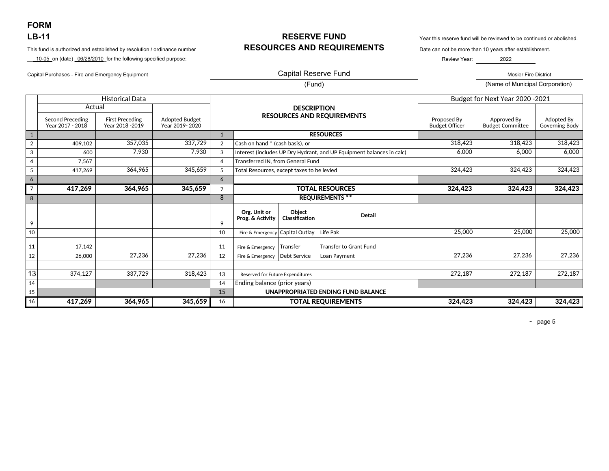**FORM** 

\_\_\_10-05\_on (date) \_06/28/2010\_for the following specified purpose:

Capital Purchases - Fire and Emergency Equipment Mosier Fire District November 2012 12:00 Capital Reserve Fund

## **LB-11 RESERVE FUND** Year this reserve fund will be reviewed to be continued or abolished. This fund is authorized and established by resolution / ordinance number **RESOURCES AND REQUIREMENTS** Date can not be more than 10 years after establishment.

Review Year: 2022

Ξ

### Capital Reserve Fund

(Fund) (Name of Municipal Corporation)

|                |                                             | <b>Historical Data</b>                     |                                         |                |                                            |                          |                                                                       |                                      | Budget for Next Year 2020 - 2021       |                              |
|----------------|---------------------------------------------|--------------------------------------------|-----------------------------------------|----------------|--------------------------------------------|--------------------------|-----------------------------------------------------------------------|--------------------------------------|----------------------------------------|------------------------------|
|                | Actual                                      |                                            |                                         |                |                                            | <b>DESCRIPTION</b>       |                                                                       |                                      |                                        |                              |
|                | <b>Second Preceding</b><br>Year 2017 - 2018 | <b>First Preceding</b><br>Year 2018 - 2019 | <b>Adopted Budget</b><br>Year 2019-2020 |                |                                            |                          | <b>RESOURCES AND REQUIREMENTS</b>                                     | Proposed By<br><b>Budget Officer</b> | Approved By<br><b>Budget Committee</b> | Adopted By<br>Governing Body |
| 1              |                                             |                                            |                                         | $\mathbf{1}$   |                                            |                          | <b>RESOURCES</b>                                                      |                                      |                                        |                              |
| $\overline{2}$ | 409,102                                     | 357,035                                    | 337,729                                 | 2              | Cash on hand * (cash basis), or            |                          |                                                                       | 318,423                              | 318,423                                | 318,423                      |
| 3              | 600                                         | 7,930                                      | 7,930                                   | 3              |                                            |                          | Interest (includes UP Dry Hydrant, and UP Equipment balances in calc) | 6,000                                | 6,000                                  | 6,000                        |
| 4              | 7,567                                       |                                            |                                         | $\overline{4}$ | <b>Transferred IN, from General Fund</b>   |                          |                                                                       |                                      |                                        |                              |
| 5              | 417,269                                     | 364,965                                    | 345,659                                 | 5              | Total Resources, except taxes to be levied |                          |                                                                       | 324,423                              | 324,423                                | 324,423                      |
| 6              |                                             |                                            |                                         | 6              |                                            |                          |                                                                       |                                      |                                        |                              |
| $\overline{7}$ | 417,269                                     | 364,965                                    | 345,659                                 | $\overline{7}$ |                                            |                          | <b>TOTAL RESOURCES</b>                                                | 324,423                              | 324,423                                | 324,423                      |
| 8              |                                             |                                            |                                         | 8              |                                            |                          | <b>REQUIREMENTS **</b>                                                |                                      |                                        |                              |
| 9              |                                             |                                            |                                         | 9              | Org. Unit or<br>Prog. & Activity           | Object<br>Classification | <b>Detail</b>                                                         |                                      |                                        |                              |
| 10             |                                             |                                            |                                         | 10             | Fire & Emergency                           | Capital Outlav           | Life Pak                                                              | 25,000                               | 25,000                                 | 25,000                       |
| 11             | 17,142                                      |                                            |                                         | 11             | Fire & Emergency                           | Transfer                 | <b>Transfer to Grant Fund</b>                                         |                                      |                                        |                              |
| 12             | 26,000                                      | 27,236                                     | 27,236                                  | 12             | Fire & Emergency                           | Debt Service             | Loan Payment                                                          | 27,236                               | 27,236                                 | 27,236                       |
|                |                                             |                                            |                                         |                |                                            |                          |                                                                       |                                      |                                        |                              |
| 13             | 374,127                                     | 337,729                                    | 318,423                                 | 13             | <b>Reserved for Future Expenditures</b>    |                          |                                                                       | 272,187                              | 272,187                                | 272,187                      |
| 14             |                                             |                                            |                                         | 14             | Ending balance (prior years)               |                          |                                                                       |                                      |                                        |                              |
| 15             |                                             |                                            |                                         | 15             |                                            |                          | UNAPPROPRIATED ENDING FUND BALANCE                                    |                                      |                                        |                              |
| 16             | 417,269                                     | 364,965                                    | 345,659                                 | 16             |                                            |                          | <b>TOTAL REQUIREMENTS</b>                                             | 324,423                              | 324,423                                | 324,423                      |

- page 5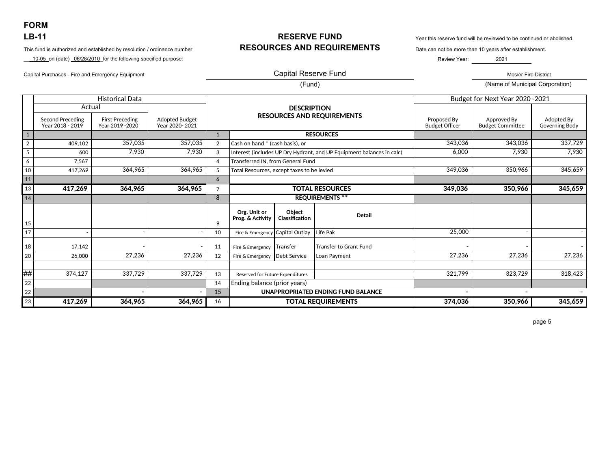**FORM** 

This fund is authorized and established by resolution / ordinance number **RESOURCES AND REQUIREMENTS** Date can not be more than 10 years after establishment.

\_\_10-05\_on (date) \_06/28/2010\_for the following specified purpose:

**LB-11 RESERVE FUND** Year this reserve fund will be reviewed to be continued or abolished.

Review Year: 2021

### Capital Reserve Fund Capital Purchases - Fire and Emergency Equipment Mosier Fire District November 2012 of Capital Reserve Fund Mosier Fire District Mosier Fire District

(Fund) (Name of Municipal Corporation)

|                |                                                       | <b>Historical Data</b>                     |                                         |                |                                            |                          |                                                                       |                                      | Budget for Next Year 2020 - 2021       |                              |
|----------------|-------------------------------------------------------|--------------------------------------------|-----------------------------------------|----------------|--------------------------------------------|--------------------------|-----------------------------------------------------------------------|--------------------------------------|----------------------------------------|------------------------------|
|                | Actual<br><b>Second Preceding</b><br>Year 2018 - 2019 | <b>First Preceding</b><br>Year 2019 - 2020 | <b>Adopted Budget</b><br>Year 2020-2021 |                |                                            | <b>DESCRIPTION</b>       | <b>RESOURCES AND REQUIREMENTS</b>                                     | Proposed By<br><b>Budget Officer</b> | Approved By<br><b>Budget Committee</b> | Adopted By<br>Governing Body |
| $\mathbf{1}$   |                                                       |                                            |                                         | $\mathbf{1}$   |                                            |                          | <b>RESOURCES</b>                                                      |                                      |                                        |                              |
| $\overline{2}$ | 409,102                                               | 357,035                                    | 357,035                                 | 2              | Cash on hand * (cash basis), or            |                          |                                                                       | 343,036                              | 343,036                                | 337,729                      |
| 5              | 600                                                   | 7,930                                      | 7,930                                   | 3              |                                            |                          | Interest (includes UP Dry Hydrant, and UP Equipment balances in calc) | 6.000                                | 7,930                                  | 7,930                        |
| 6              | 7,567                                                 |                                            |                                         | 4              | <b>Transferred IN, from General Fund</b>   |                          |                                                                       |                                      |                                        |                              |
| 10             | 417.269                                               | 364,965                                    | 364,965                                 | 5              | Total Resources, except taxes to be levied |                          |                                                                       | 349,036                              | 350,966                                | 345,659                      |
| 11             |                                                       |                                            |                                         | 6              |                                            |                          |                                                                       |                                      |                                        |                              |
| 13             | 417,269                                               | 364,965                                    | 364,965                                 | $\overline{7}$ |                                            |                          | <b>TOTAL RESOURCES</b>                                                | 349,036                              | 350,966                                | 345,659                      |
| 14             |                                                       |                                            |                                         | 8              |                                            |                          | <b>REQUIREMENTS **</b>                                                |                                      |                                        |                              |
| 15             |                                                       |                                            |                                         | 9              | Org. Unit or<br>Prog. & Activity           | Obiect<br>Classification | <b>Detail</b>                                                         |                                      |                                        |                              |
| 17             |                                                       |                                            |                                         | 10             | Fire & Emergency                           | <b>Capital Outlay</b>    | Life Pak                                                              | 25,000                               |                                        |                              |
| 18             | 17,142                                                |                                            |                                         | 11             | Fire & Emergency                           | Transfer                 | <b>Transfer to Grant Fund</b>                                         |                                      |                                        |                              |
| 20             | 26,000                                                | 27,236                                     | 27,236                                  | 12             | Fire & Emergency                           | <b>Debt Service</b>      | Loan Payment                                                          | 27,236                               | 27,236                                 | 27,236                       |
|                |                                                       |                                            |                                         |                |                                            |                          |                                                                       |                                      |                                        |                              |
| ₩#             | 374,127                                               | 337,729                                    | 337,729                                 | 13             | Reserved for Future Expenditures           |                          |                                                                       | 321,799                              | 323,729                                | 318,423                      |
| 22             |                                                       |                                            |                                         | 14             | Ending balance (prior years)               |                          |                                                                       |                                      |                                        |                              |
| 22             |                                                       |                                            |                                         | 15             |                                            |                          | <b>UNAPPROPRIATED ENDING FUND BALANCE</b>                             |                                      |                                        |                              |
| 23             | 417,269                                               | 364,965                                    | 364,965                                 | 16             |                                            |                          | <b>TOTAL REQUIREMENTS</b>                                             | 374,036                              | 350,966                                | 345,659                      |

page 5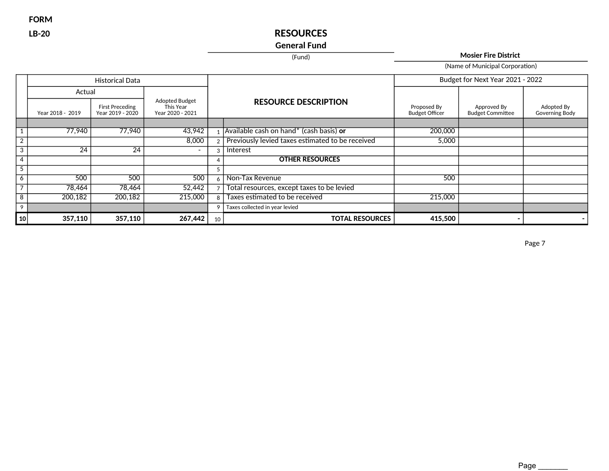**FORM**

## **LB-20 RESOURCES**

## **General Fund**

(Fund) **Mosier Fire District**

(Name of Municipal Corporation)

|                          |                  | <b>Historical Data</b>                     |                                                 |    |                                                  |                                      | Budget for Next Year 2021 - 2022       |                              |
|--------------------------|------------------|--------------------------------------------|-------------------------------------------------|----|--------------------------------------------------|--------------------------------------|----------------------------------------|------------------------------|
|                          | Actual           |                                            |                                                 |    |                                                  |                                      |                                        |                              |
|                          | Year 2018 - 2019 | <b>First Preceding</b><br>Year 2019 - 2020 | Adopted Budget<br>This Year<br>Year 2020 - 2021 |    | <b>RESOURCE DESCRIPTION</b>                      | Proposed By<br><b>Budget Officer</b> | Approved By<br><b>Budget Committee</b> | Adopted By<br>Governing Body |
|                          |                  |                                            |                                                 |    |                                                  |                                      |                                        |                              |
|                          | 77,940           | 77,940                                     | 43,942                                          |    | Available cash on hand* (cash basis) or          | 200,000                              |                                        |                              |
| 2                        |                  |                                            | 8,000                                           |    | Previously levied taxes estimated to be received | 5,000                                |                                        |                              |
| 3                        | 24               | 24                                         | $\overline{\phantom{0}}$                        | 3  | Interest                                         |                                      |                                        |                              |
| $\overline{a}$           |                  |                                            |                                                 | 4  | <b>OTHER RESOURCES</b>                           |                                      |                                        |                              |
| 5                        |                  |                                            |                                                 |    |                                                  |                                      |                                        |                              |
| 6                        | 500              | 500                                        | 500                                             |    | Non-Tax Revenue                                  | 500                                  |                                        |                              |
| $\overline{\phantom{a}}$ | 78,464           | 78,464                                     | 52,442                                          |    | Total resources, except taxes to be levied       |                                      |                                        |                              |
| 8                        | 200,182          | 200,182                                    | 215,000                                         |    | Taxes estimated to be received                   | 215,000                              |                                        |                              |
| 9                        |                  |                                            |                                                 | 9  | Taxes collected in year levied                   |                                      |                                        |                              |
| 10                       | 357,110          | 357,110                                    | 267,442                                         | 10 | <b>TOTAL RESOURCES</b>                           | 415,500                              |                                        |                              |

Page 7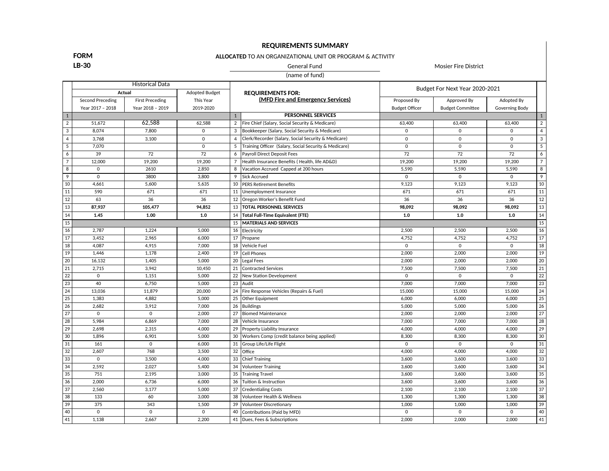### **REQUIREMENTS SUMMARY**

### **FORM**

### **ALLOCATED** TO AN ORGANIZATIONAL UNIT OR PROGRAM & ACTIVITY

**LB-30** General Fund General Fund Mosier Fire District

(name of fund)

|                 |                  | <b>Historical Data</b> |                       |                |                                                       |                       | Budget For Next Year 2020-2021 |                       |                 |
|-----------------|------------------|------------------------|-----------------------|----------------|-------------------------------------------------------|-----------------------|--------------------------------|-----------------------|-----------------|
|                 | Actual           |                        | <b>Adopted Budget</b> |                | <b>REQUIREMENTS FOR:</b>                              |                       |                                |                       |                 |
|                 | Second Preceding | <b>First Preceding</b> | This Year             |                | (MFD Fire and Emergency Services)                     | Proposed By           | Approved By                    | Adopted By            |                 |
|                 | Year 2017 - 2018 | Year 2018 - 2019       | 2019-2020             |                |                                                       | <b>Budget Officer</b> | <b>Budget Committee</b>        | <b>Governing Body</b> |                 |
| $\mathbf{1}$    |                  |                        |                       | $\mathbf{1}$   | <b>PERSONNEL SERVICES</b>                             |                       |                                |                       | $\mathbf{1}$    |
| $\overline{2}$  | 51.672           | 62.588                 | 62.588                | $\overline{2}$ | Fire Chief (Salary, Social Security & Medicare)       | 63,400                | 63,400                         | 63,400                | $\overline{2}$  |
| $\overline{3}$  | 8,074            | 7.800                  | $\mathbf 0$           | 3              | Bookkeeper (Salary, Social Security & Medicare)       | $\mathbf 0$           | $\Omega$                       | $\Omega$              | $\overline{4}$  |
| $\overline{4}$  | 3,768            | 3,100                  | $\mathbf 0$           | $\overline{4}$ | Clerk/Recorder (Salary, Social Security & Medicare)   | $\mathbf 0$           | $\mathbf 0$                    | $\mathbf 0$           | $\mathbf{3}$    |
| 5               | 7,070            |                        | $\mathbf 0$           | 5              | Training Officer (Salary, Social Security & Medicare) | $\mathbf 0$           | $\mathbf 0$                    | $\mathbf 0$           | $5\overline{)}$ |
| 6               | 39               | 72                     | 72                    | 6              | Payroll Direct Deposit Fees                           | 72                    | 72                             | 72                    | $\overline{6}$  |
| $\overline{7}$  | 12,000           | 19,200                 | 19,200                | $\overline{7}$ | Health Insurance Benefits (Health, life AD&D)         | 19,200                | 19,200                         | 19,200                | $\overline{7}$  |
| 8               | $\Omega$         | 2610                   | 2,850                 | 8              | Vacation Accrued Capped at 200 hours                  | 5,590                 | 5.590                          | 5.590                 | 8               |
| 9               | $\Omega$         | 3800                   | 3,800                 | 9              | Sick Accrued                                          | $\overline{0}$        | $\Omega$                       | $\Omega$              | 9               |
| 10              | 4,661            | 5,600                  | 5,635                 | 10             | <b>PERS Retirement Benefits</b>                       | 9,123                 | 9,123                          | 9,123                 | 10              |
| 11              | 590              | 671                    | 671                   | 11             | Unemployment Insurance                                | 671                   | 671                            | 671                   | 11              |
| 12              | 63               | 36                     | 36                    | 12             | Oregon Worker's Benefit Fund                          | 36                    | 36                             | 36                    | 12              |
| 13              | 87,937           | 105,477                | 94,852                | 13             | <b>TOTAL PERSONNEL SERVICES</b>                       | 98,092                | 98,092                         | 98,092                | 13              |
| 14              | 1.45             | 1.00                   | 1.0                   | 14             | <b>Total Full-Time Equivalent (FTE)</b>               | 1.0                   | 1.0                            | 1.0                   | 14              |
| $\overline{15}$ |                  |                        |                       | 15             | <b>MATERIALS AND SERVICES</b>                         |                       |                                |                       | 15              |
| 16              | 2,787            | 1,224                  | 5,000                 |                | 16 Electricity                                        | 2,500                 | 2,500                          | 2,500                 | 16              |
| $17\,$          | 3,452            | 2,965                  | 6,000                 | 17             | Propane                                               | 4,752                 | 4,752                          | 4,752                 | 17              |
| 18              | 4,087            | 4,915                  | 7,000                 | 18             | Vehicle Fuel                                          | $\mathbf 0$           | $\mathbf 0$                    | $\mathbf 0$           | 18              |
| 19              | 1,446            | 1,178                  | 2,400                 | 19             | l Cell Phones                                         | 2,000                 | 2,000                          | 2,000                 | 19              |
| 20              | 16.132           | 1,405                  | 5,000                 | 20             | Legal Fees                                            | 2,000                 | 2,000                          | 2,000                 | $\overline{20}$ |
| 21              | 2,715            | 3,942                  | 10,450                | 21             | <b>Contracted Services</b>                            | 7,500                 | 7,500                          | 7,500                 | 21              |
| 22              | $\mathbf 0$      | 1,151                  | 5,000                 | 22             | New Station Development                               | $\mathbf 0$           | $\mathbf 0$                    | $\mathbf 0$           | 22              |
| 23              | 40               | 6,750                  | 5,000                 | 23             | Audit                                                 | 7,000                 | 7,000                          | 7,000                 | 23              |
| 24              | 13,036           | 11,879                 | 20,000                | 24             | Fire Response Vehicles (Repairs & Fuel)               | 15,000                | 15,000                         | 15,000                | 24              |
| 25              | 1.383            | 4,882                  | 5,000                 | 25             | Other Equipment                                       | 6,000                 | 6,000                          | 6,000                 | $\overline{25}$ |
| 26              | 2,682            | 3,912                  | 7,000                 | 26             | Buildings                                             | 5,000                 | 5,000                          | 5,000                 | 26              |
| 27              | $\Omega$         | $\Omega$               | 2,000                 | 27             | Biomed Maintenance                                    | 2,000                 | 2,000                          | 2.000                 | 27              |
| 28              | 5,984            | 6,869                  | 7,000                 | 28             | Vehicle Insurance                                     | 7,000                 | 7,000                          | 7,000                 | $\overline{28}$ |
| 29              | 2,698            | 2,315                  | 4,000                 | 29             | Property Liability Insurance                          | 4,000                 | 4,000                          | 4,000                 | 29              |
| 30              | 1,896            | 6,901                  | 5,000                 | 30             | Workers Comp (credit balance being applied)           | 8,300                 | 8,300                          | 8,300                 | 30              |
| 31              | 161              | $\mathbf 0$            | 6,000                 | 31             | Group Life/Life Flight                                | $\mathbf 0$           | $\mathbf 0$                    | $\mathbf 0$           | 31              |
| 32              | 2.607            | 768                    | 3,500                 | 32             | Office                                                | 4,000                 | 4,000                          | 4.000                 | 32              |
| 33              | $\mathbf 0$      | 3,500                  | 4,000                 | 33             | Chief Training                                        | 3,600                 | 3,600                          | 3,600                 | 33              |
| 34              | 2,592            | 2,027                  | 5,400                 | 34             | <b>Volunteer Training</b>                             | 3,600                 | 3,600                          | 3,600                 | 34              |
| 35              | 751              | 2,195                  | 3,000                 | 35             | <b>Training Travel</b>                                | 3,600                 | 3,600                          | 3,600                 | 35              |
| 36              | 2,000            | 6,736                  | 6,000                 | 36             | Tuition & Instruction                                 | 3,600                 | 3,600                          | 3,600                 | 36              |
| $\overline{37}$ | 2.560            | 3,177                  | 5,000                 | 37             | <b>Credentialing Costs</b>                            | 2,100                 | 2,100                          | 2,100                 | $\overline{37}$ |
| 38              | 133              | 60                     | 3,000                 | 38             | Volunteer Health & Wellness                           | 1,300                 | 1,300                          | 1,300                 | $\overline{38}$ |
| 39              | 375              | 343                    | 1,500                 | 39             | Volunteer Discretionary                               | 1,000                 | 1,000                          | 1,000                 | 39              |
| 40              | $\mathbf 0$      | $\mathbf 0$            | $\mathbf 0$           | 40             | Contributions (Paid by MFD)                           | $\mathbf 0$           | $\mathbf 0$                    | $\mathbf 0$           | 40              |
| 41              | 1,138            | 2,667                  | 2,200                 | 41             | Dues, Fees & Subscriptions                            | 2,000                 | 2,000                          | 2,000                 | 41              |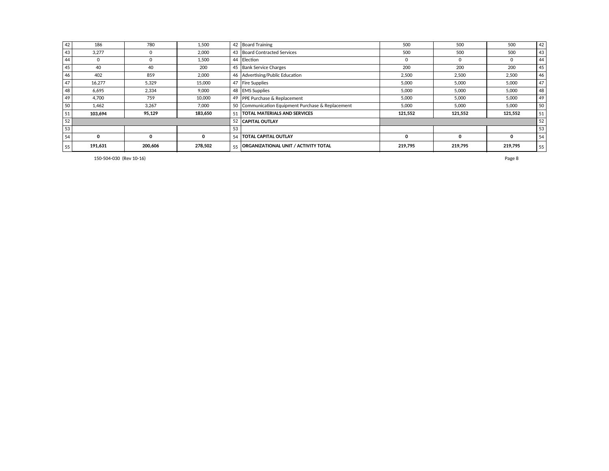| 42 | 186     | 780      | 1.500   |    | 42 Board Training                                 | 500      | 500     | 500      | 42 |
|----|---------|----------|---------|----|---------------------------------------------------|----------|---------|----------|----|
| 43 | 3.277   | $\Omega$ | 2,000   |    | 43 Board Contracted Services                      | 500      | 500     | 500      | 43 |
| 44 |         | $\Omega$ | 1,500   |    | 44 Election                                       | $\Omega$ | 0       | $\Omega$ | 44 |
| 45 | 40      | 40       | 200     |    | 45 Bank Service Charges                           | 200      | 200     | 200      | 45 |
| 46 | 402     | 859      | 2,000   |    | 46 Advertising/Public Education                   | 2,500    | 2,500   | 2,500    | 46 |
| 47 | 16.277  | 5.329    | 15,000  |    | 47   Fire Supplies                                | 5,000    | 5,000   | 5,000    | 47 |
| 48 | 6.695   | 2,334    | 9.000   |    | 48   EMS Supplies                                 | 5,000    | 5,000   | 5,000    | 48 |
| 49 | 4.700   | 759      | 10,000  |    | 49   PPE Purchase & Replacement                   | 5,000    | 5,000   | 5,000    | 49 |
| 50 | 1.462   | 3.267    | 7.000   |    | 50 Communication Equipment Purchase & Replacement | 5,000    | 5,000   | 5,000    | 50 |
| 51 | 103.694 | 95,129   | 183,650 | 51 | <b>TOTAL MATERIALS AND SERVICES</b>               | 121,552  | 121.552 | 121,552  | 51 |
| 52 |         |          |         |    | 52 CAPITAL OUTLAY                                 |          |         |          | 52 |
| 53 |         |          |         | 53 |                                                   |          |         |          | 53 |
| 54 |         |          |         |    | 54   TOTAL CAPITAL OUTLAY                         | o        | 0       | Ω        | 54 |
| 55 | 191,631 | 200,606  | 278,502 | 55 | <b>ORGANIZATIONAL UNIT / ACTIVITY TOTAL</b>       | 219,795  | 219,795 | 219,795  | 55 |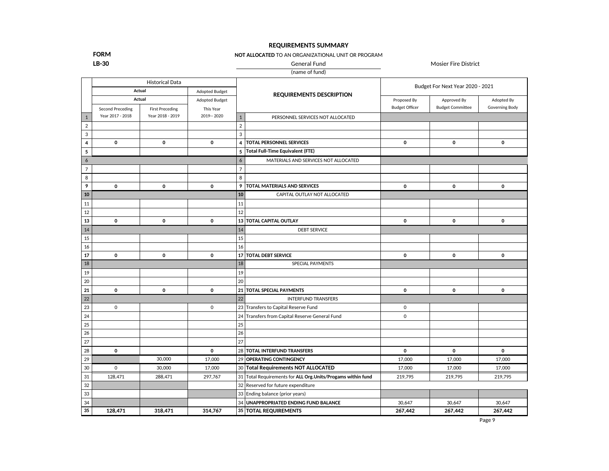### **REQUIREMENTS SUMMARY**

**FORM**

**NOT ALLOCATED** TO AN ORGANIZATIONAL UNIT OR PROGRAM

**LB-30** Mosier Fire District Contract According Mosier Fire District Contract According Mosier Fire District

(name of fund)

|                         |                         | <b>Historical Data</b> |                |                |                                                              |                       | Budget For Next Year 2020 - 2021 |                |
|-------------------------|-------------------------|------------------------|----------------|----------------|--------------------------------------------------------------|-----------------------|----------------------------------|----------------|
|                         | Actual                  |                        | Adopted Budget |                | <b>REQUIREMENTS DESCRIPTION</b>                              |                       |                                  |                |
|                         | Actual                  |                        | Adopted Budget |                |                                                              | Proposed By           | Approved By                      | Adopted By     |
|                         | <b>Second Preceding</b> | <b>First Preceding</b> | This Year      |                |                                                              | <b>Budget Officer</b> | <b>Budget Committee</b>          | Governing Body |
| $\mathbf{1}$            | Year 2017 - 2018        | Year 2018 - 2019       | 2019 -- 2020   | $\mathbf{1}$   | PERSONNEL SERVICES NOT ALLOCATED                             |                       |                                  |                |
| $\overline{2}$          |                         |                        |                | $\overline{2}$ |                                                              |                       |                                  |                |
| 3                       |                         |                        |                | 3              |                                                              |                       |                                  |                |
| $\overline{\mathbf{4}}$ | $\pmb{0}$               | 0                      | 0              | $\overline{4}$ | <b>TOTAL PERSONNEL SERVICES</b>                              | 0                     | 0                                | 0              |
| 5                       |                         |                        |                |                | 5   Total Full-Time Equivalent (FTE)                         |                       |                                  |                |
| 6                       |                         |                        |                | 6              | MATERIALS AND SERVICES NOT ALLOCATED                         |                       |                                  |                |
| $\overline{7}$          |                         |                        |                | $\overline{7}$ |                                                              |                       |                                  |                |
| 8                       |                         |                        |                | 8              |                                                              |                       |                                  |                |
| 9                       | $\mathbf 0$             | 0                      | 0              | 9              | <b>TOTAL MATERIALS AND SERVICES</b>                          | $\mathbf 0$           | 0                                | $\mathbf 0$    |
| 10                      |                         |                        |                | ${\bf 10}$     | CAPITAL OUTLAY NOT ALLOCATED                                 |                       |                                  |                |
| 11                      |                         |                        |                | 11             |                                                              |                       |                                  |                |
| 12                      |                         |                        |                | 12             |                                                              |                       |                                  |                |
| 13                      | 0                       | 0                      | 0              |                | 13 TOTAL CAPITAL OUTLAY                                      | $\mathbf 0$           | $\mathbf 0$                      | $\mathbf 0$    |
| 14                      |                         |                        |                | 14             | <b>DEBT SERVICE</b>                                          |                       |                                  |                |
| 15                      |                         |                        |                | 15             |                                                              |                       |                                  |                |
| 16                      |                         |                        |                | 16             |                                                              |                       |                                  |                |
| 17                      | 0                       | 0                      | $\mathbf 0$    |                | 17 TOTAL DEBT SERVICE                                        | $\mathbf 0$           | $\mathbf 0$                      | $\mathbf 0$    |
| 18                      |                         |                        |                | 18             | SPECIAL PAYMENTS                                             |                       |                                  |                |
| 19                      |                         |                        |                | 19             |                                                              |                       |                                  |                |
| 20                      |                         |                        |                | 20             |                                                              |                       |                                  |                |
| 21                      | $\mathbf 0$             | 0                      | 0              |                | 21 TOTAL SPECIAL PAYMENTS                                    | $\mathbf 0$           | $\mathbf 0$                      | $\mathbf 0$    |
| 22                      |                         |                        |                | 22             | <b>INTERFUND TRANSFERS</b>                                   |                       |                                  |                |
| 23                      | 0                       |                        | $\mathbf 0$    |                | 23 Transfers to Capital Reserve Fund                         | $\mathbf 0$           |                                  |                |
| 24                      |                         |                        |                |                | 24 Transfers from Capital Reserve General Fund               | $\mathsf{O}\xspace$   |                                  |                |
| 25                      |                         |                        |                | 25             |                                                              |                       |                                  |                |
| 26                      |                         |                        |                | 26             |                                                              |                       |                                  |                |
| 27                      |                         |                        |                | 27             |                                                              |                       |                                  |                |
| 28                      | $\mathbf 0$             |                        | $\mathbf 0$    |                | 28 TOTAL INTERFUND TRANSFERS                                 | $\mathbf 0$           | $\mathbf 0$                      | $\mathbf 0$    |
| 29                      |                         | 30,000                 | 17,000         |                | 29 OPERATING CONTINGENCY                                     | 17,000                | 17,000                           | 17,000         |
| 30                      | 0                       | 30,000                 | 17,000         |                | 30 Total Requirements NOT ALLOCATED                          | 17,000                | 17,000                           | 17,000         |
| 31                      | 128,471                 | 288,471                | 297,767        |                | 31 Total Requirements for ALL Org. Units/Progams within fund | 219,795               | 219,795                          | 219,795        |
| 32                      |                         |                        |                |                | 32 Reserved for future expenditure                           |                       |                                  |                |
| 33                      |                         |                        |                |                | 33 Ending balance (prior years)                              |                       |                                  |                |
| 34                      |                         |                        |                |                | 34 UNAPPROPRIATED ENDING FUND BALANCE                        | 30,647                | 30,647                           | 30,647         |
| 35                      | 128,471                 | 318,471                | 314,767        |                | 35   TOTAL REQUIREMENTS                                      | 267,442               | 267,442                          | 267,442        |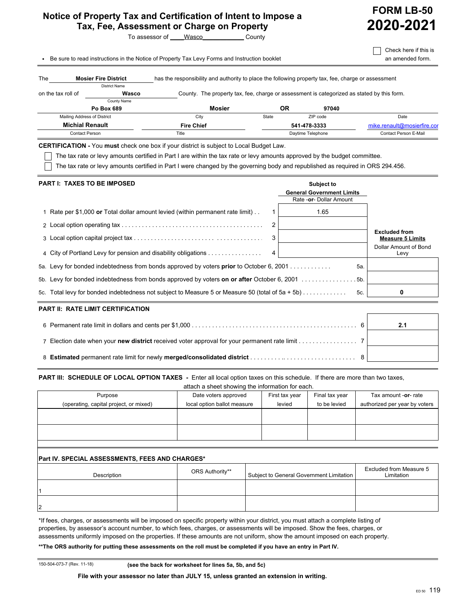## **Notice of Property Tax and Certification of Intent to Impose a Tax, Fee, Assessment or Charge on Property**



**FORM LB-50 2020-2021**

 $\Box$  Check here if this is

**.** Be sure to read instructions in the Notice of Property Tax Levy Forms and Instruction booklet **and an amended form.** 

| The                | <b>Mosier Fire District</b> | has the responsibility and authority to place the following property tax, fee, charge or assessment |       |                   |                             |
|--------------------|-----------------------------|-----------------------------------------------------------------------------------------------------|-------|-------------------|-----------------------------|
|                    | <b>District Name</b>        |                                                                                                     |       |                   |                             |
| on the tax roll of | Wasco                       | County. The property tax, fee, charge or assessment is categorized as stated by this form.          |       |                   |                             |
|                    | County Name                 |                                                                                                     |       |                   |                             |
|                    | Po Box 689                  | <b>Mosier</b>                                                                                       | ΟR    | 97040             |                             |
|                    | Mailing Address of District | City                                                                                                | State | ZIP code          | Date                        |
|                    | <b>Michial Renault</b>      | <b>Fire Chief</b>                                                                                   |       | 541-478-3333      | mike.renault@mosierfire.cor |
|                    | Contact Person              | Title                                                                                               |       | Daytime Telephone | Contact Person E-Mail       |

**CERTIFICATION -** You **must** check one box if your district is subject to Local Budget Law.

 $\Box$  The tax rate or levy amounts certified in Part I are within the tax rate or levy amounts approved by the budget committee.

The tax rate or levy amounts certified in Part I were changed by the governing body and republished as required in ORS 294.456.

| <b>PART I: TAXES TO BE IMPOSED</b>                                                               | Subject to<br><b>General Government Limits</b><br>Rate - or - Dollar Amount |                                                 |
|--------------------------------------------------------------------------------------------------|-----------------------------------------------------------------------------|-------------------------------------------------|
| Rate per \$1,000 or Total dollar amount levied (within permanent rate limit)                     | 1.65                                                                        |                                                 |
|                                                                                                  |                                                                             |                                                 |
|                                                                                                  | 3                                                                           | <b>Excluded from</b><br><b>Measure 5 Limits</b> |
| 4 City of Portland Levy for pension and disability obligations                                   |                                                                             | Dollar Amount of Bond<br>Levy                   |
| 5a. Levy for bonded indebtedness from bonds approved by voters <b>prior</b> to October 6, 2001   | 5а.                                                                         |                                                 |
| 5b. Levy for bonded indebtedness from bonds approved by voters on or after October 6, 2001 5b.   |                                                                             |                                                 |
| 5c. Total levy for bonded indebtedness not subject to Measure 5 or Measure 50 (total of 5a + 5b) | 5c.                                                                         |                                                 |

### **PART II: RATE LIMIT CERTIFICATION**

aboot abouting the information for a **PART III: SCHEDULE OF LOCAL OPTION TAXES** - Enter all local option taxes on this schedule. If there are more than two taxes,

| attach a sheet showing the implifiation for each. |                             |                |                |                               |  |
|---------------------------------------------------|-----------------------------|----------------|----------------|-------------------------------|--|
| Purpose                                           | Date voters approved        | First tax year | Final tax year | Tax amount -or- rate          |  |
| (operating, capital project, or mixed)            | local option ballot measure | levied         | to be levied   | authorized per year by voters |  |
|                                                   |                             |                |                |                               |  |
|                                                   |                             |                |                |                               |  |
|                                                   |                             |                |                |                               |  |
|                                                   |                             |                |                |                               |  |
|                                                   |                             |                |                |                               |  |

### **Part IV. SPECIAL ASSESSMENTS, FEES AND CHARGES\***

| Description | ORS Authority** | Subject to General Government Limitation | Excluded from Measure 5<br>Limitation |
|-------------|-----------------|------------------------------------------|---------------------------------------|
|             |                 |                                          |                                       |
| 12          |                 |                                          |                                       |

\*If fees, charges, or assessments will be imposed on specific property within your district, you must attach a complete listing of properties, by assessor's account number, to which fees, charges, or assessments will be imposed. Show the fees, charges, or assessments uniformly imposed on the properties. If these amounts are not uniform, show the amount imposed on each property.

**\*\*The ORS authority for putting these assessments on the roll must be completed if you have an entry in Part IV.**

150-504-073-7 (Rev. 11-18) **(see the back for worksheet for lines 5a, 5b, and 5c)**

**File with your assessor no later than JULY 15, unless granted an extension in writing.**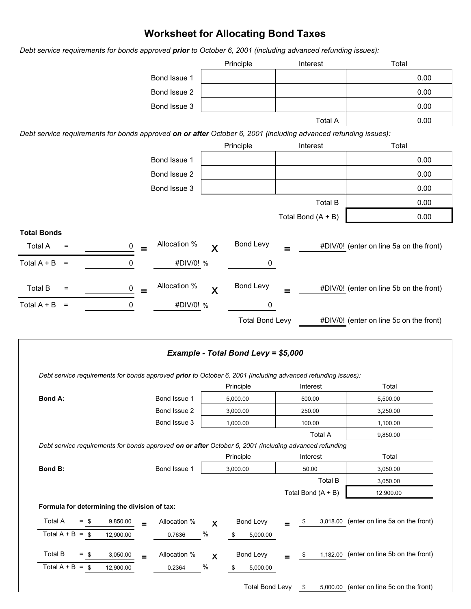# **Worksheet for Allocating Bond Taxes**

*Debt service requirements for bonds approved prior to October 6, 2001 (including advanced refunding issues):*



|                                                                                                        |                 |              |                           | Debt service requirements for bonds approved prior to October 6, 2001 (including advanced refunding issues): |                |                      |                | Total                                    |  |
|--------------------------------------------------------------------------------------------------------|-----------------|--------------|---------------------------|--------------------------------------------------------------------------------------------------------------|----------------|----------------------|----------------|------------------------------------------|--|
|                                                                                                        |                 |              |                           | Principle                                                                                                    | Interest       |                      |                |                                          |  |
| <b>Bond A:</b>                                                                                         |                 | Bond Issue 1 |                           | 5,000.00                                                                                                     | 500.00         |                      |                | 5,500.00                                 |  |
|                                                                                                        |                 | Bond Issue 2 |                           | 3,000.00                                                                                                     | 250.00         |                      |                | 3,250.00                                 |  |
|                                                                                                        |                 | Bond Issue 3 |                           | 1,000.00                                                                                                     | 100.00         |                      |                | 1,100.00                                 |  |
|                                                                                                        |                 |              |                           |                                                                                                              | <b>Total A</b> |                      |                | 9,850.00                                 |  |
| Debt service requirements for bonds approved on or after October 6, 2001 (including advanced refunding |                 |              |                           |                                                                                                              |                |                      |                |                                          |  |
|                                                                                                        |                 |              |                           | Principle                                                                                                    |                | Interest             |                | Total                                    |  |
| <b>Bond B:</b>                                                                                         |                 | Bond Issue 1 |                           | 3,000.00                                                                                                     | 50.00          |                      |                | 3,050.00                                 |  |
|                                                                                                        |                 |              |                           |                                                                                                              |                |                      | <b>Total B</b> | 3,050.00                                 |  |
|                                                                                                        |                 |              |                           |                                                                                                              |                | Total Bond $(A + B)$ |                | 12,900.00                                |  |
| Formula for determining the division of tax:                                                           |                 |              |                           |                                                                                                              |                |                      |                |                                          |  |
| <b>Total A</b><br>$=$<br>- \$                                                                          | 9,850.00<br>$=$ | Allocation % | $\boldsymbol{\mathsf{X}}$ | Bond Levy                                                                                                    |                | \$                   |                | 3,818.00 (enter on line 5a on the front) |  |
| Total $A + B =$ \$                                                                                     | 12,900.00       | 0.7636       | $\%$                      | 5,000.00<br>\$                                                                                               |                |                      |                |                                          |  |
| <b>Total B</b><br>- \$<br>$=$                                                                          | 3,050.00<br>$=$ | Allocation % | $\boldsymbol{\mathsf{X}}$ | <b>Bond Levy</b>                                                                                             |                | \$                   |                | 1,182.00 (enter on line 5b on the front) |  |
| Total $A + B =$ \$                                                                                     | 12,900.00       | 0.2364       | $\frac{0}{0}$             | 5,000.00<br>\$                                                                                               |                |                      |                |                                          |  |